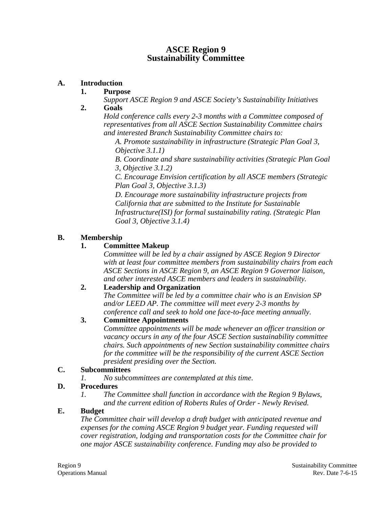### **ASCE Region 9 Sustainability Committee**

### **A. Introduction**

#### **1. Purpose**

*Support ASCE Region 9 and ASCE Society's Sustainability Initiatives*  **2. Goals** 

*Hold conference calls every 2-3 months with a Committee composed of representatives from all ASCE Section Sustainability Committee chairs and interested Branch Sustainability Committee chairs to:* 

*A. Promote sustainability in infrastructure (Strategic Plan Goal 3, Objective 3.1.1)* 

*B. Coordinate and share sustainability activities (Strategic Plan Goal 3, Objective 3.1.2)* 

*C. Encourage Envision certification by all ASCE members (Strategic Plan Goal 3, Objective 3.1.3)* 

*D. Encourage more sustainability infrastructure projects from California that are submitted to the Institute for Sustainable Infrastructure(ISI) for formal sustainability rating. (Strategic Plan Goal 3, Objective 3.1.4)* 

### **B. Membership**

# **1. Committee Makeup**

*Committee will be led by a chair assigned by ASCE Region 9 Director with at least four committee members from sustainability chairs from each ASCE Sections in ASCE Region 9, an ASCE Region 9 Governor liaison, and other interested ASCE members and leaders in sustainability.* 

# **2. Leadership and Organization**

*The Committee will be led by a committee chair who is an Envision SP and/or LEED AP. The committee will meet every 2-3 months by conference call and seek to hold one face-to-face meeting annually.* 

# **3. Committee Appointments**

*Committee appointments will be made whenever an officer transition or vacancy occurs in any of the four ASCE Section sustainability committee chairs. Such appointments of new Section sustainability committee chairs for the committee will be the responsibility of the current ASCE Section president presiding over the Section.* 

#### **C. Subcommittees**

*1. No subcommittees are contemplated at this time.* 

# **D. Procedures**

*1. The Committee shall function in accordance with the Region 9 Bylaws, and the current edition of Roberts Rules of Order - Newly Revised.* 

#### **E. Budget**

*The Committee chair will develop a draft budget with anticipated revenue and expenses for the coming ASCE Region 9 budget year. Funding requested will cover registration, lodging and transportation costs for the Committee chair for one major ASCE sustainability conference. Funding may also be provided to*